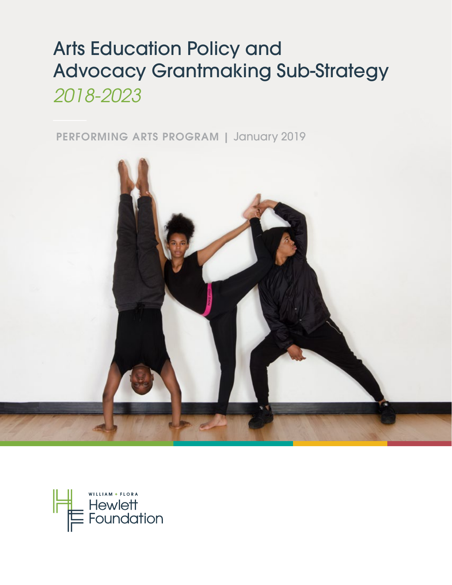# Arts Education Policy and Advocacy Grantmaking Sub-Strategy *2018-2023*

PERFORMING ARTS PROGRAM | January 2019



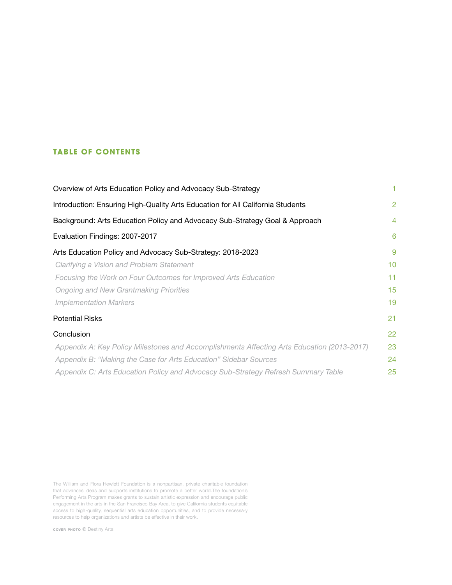## **TABLE OF CONTENTS**

| Overview of Arts Education Policy and Advocacy Sub-Strategy                                |                |
|--------------------------------------------------------------------------------------------|----------------|
| Introduction: Ensuring High-Quality Arts Education for All California Students             | $\overline{2}$ |
| Background: Arts Education Policy and Advocacy Sub-Strategy Goal & Approach                | $\overline{4}$ |
| Evaluation Findings: 2007-2017                                                             | 6              |
| Arts Education Policy and Advocacy Sub-Strategy: 2018-2023                                 | 9              |
| Clarifying a Vision and Problem Statement                                                  | 10             |
| Focusing the Work on Four Outcomes for Improved Arts Education                             | 11             |
| <b>Ongoing and New Grantmaking Priorities</b>                                              | 15             |
| <b>Implementation Markers</b>                                                              | 19             |
| <b>Potential Risks</b>                                                                     | 21             |
| Conclusion                                                                                 | 22             |
| Appendix A: Key Policy Milestones and Accomplishments Affecting Arts Education (2013-2017) | 23             |
| Appendix B: "Making the Case for Arts Education" Sidebar Sources                           | 24             |
| Appendix C: Arts Education Policy and Advocacy Sub-Strategy Refresh Summary Table          | 25             |

The William and Flora Hewlett Foundation is a nonpartisan, private charitable foundation that advances ideas and supports institutions to promote a better world.The foundation's Performing Arts Program makes grants to sustain artistic expression and encourage public engagement in the arts in the San Francisco Bay Area, to give California students equitable access to high-quality, sequential arts education opportunities, and to provide necessary resources to help organizations and artists be effective in their work.

cover photo *©* Destiny Arts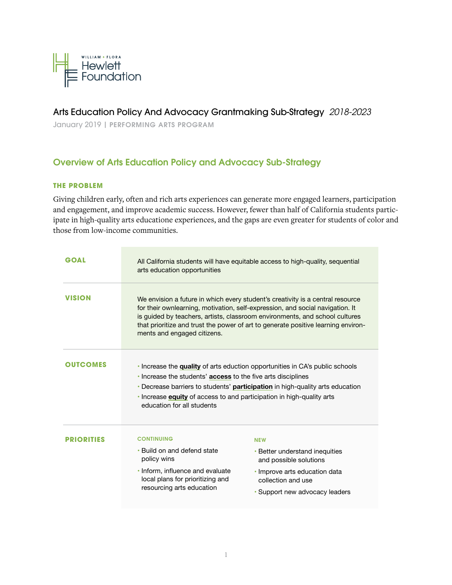

# Arts Education Policy And Advocacy Grantmaking Sub-Strategy *2018-2023*

January 2019 | PERFORMING ARTS PROGRAM

# Overview of Arts Education Policy and Advocacy Sub-Strategy

## **THE PROBLEM**

Giving children early, often and rich arts experiences can generate more engaged learners, participation and engagement, and improve academic success. However, fewer than half of California students participate in high-quality arts educatione experiences, and the gaps are even greater for students of color and those from low-income communities.

| <b>GOAL</b>       | All California students will have equitable access to high-quality, sequential<br>arts education opportunities                                                             |                                                                                                                                                                                                                                                                                                                                     |  |
|-------------------|----------------------------------------------------------------------------------------------------------------------------------------------------------------------------|-------------------------------------------------------------------------------------------------------------------------------------------------------------------------------------------------------------------------------------------------------------------------------------------------------------------------------------|--|
| <b>VISION</b>     | ments and engaged citizens.                                                                                                                                                | We envision a future in which every student's creativity is a central resource<br>for their ownlearning, motivation, self-expression, and social navigation. It<br>is guided by teachers, artists, classroom environments, and school cultures<br>that prioritize and trust the power of art to generate positive learning environ- |  |
| <b>OUTCOMES</b>   | . Increase the students' <b>access</b> to the five arts disciplines<br>. Increase equity of access to and participation in high-quality arts<br>education for all students | • Increase the quality of arts eduction opportunities in CA's public schools<br>• Decrease barriers to students' participation in high-quality arts education                                                                                                                                                                       |  |
| <b>PRIORITIES</b> | <b>CONTINUING</b><br>• Build on and defend state<br>policy wins<br>. Inform, influence and evaluate<br>local plans for prioritizing and<br>resourcing arts education       | <b>NEW</b><br>• Better understand inequities<br>and possible solutions<br>• Improve arts education data<br>collection and use<br>· Support new advocacy leaders                                                                                                                                                                     |  |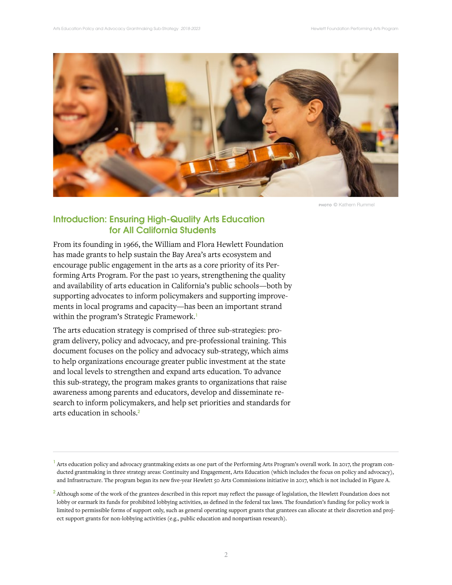

photo *©* Kathern Rummel

# Introduction: Ensuring High-Quality Arts Education for All California Students

From its founding in 1966, the William and Flora Hewlett Foundation has made grants to help sustain the Bay Area's arts ecosystem and encourage public engagement in the arts as a core priority of its Performing Arts Program. For the past 10 years, strengthening the quality and availability of arts education in California's public schools—both by supporting advocates to inform policymakers and supporting improvements in local programs and capacity—has been an important strand within the program's Strategic Framework.<sup>1</sup>

The arts education strategy is comprised of three sub-strategies: program delivery, policy and advocacy, and pre-professional training. This document focuses on the policy and advocacy sub-strategy, which aims to help organizations encourage greater public investment at the state and local levels to strengthen and expand arts education. To advance this sub-strategy, the program makes grants to organizations that raise awareness among parents and educators, develop and disseminate research to inform policymakers, and help set priorities and standards for arts education in schools.<sup>2</sup>

 $<sup>1</sup>$  Arts education policy and advocacy grantmaking exists as one part of the Performing Arts Program's overall work. In 2017, the program con-</sup> ducted grantmaking in three strategy areas: Continuity and Engagement, Arts Education (which includes the focus on policy and advocacy), and Infrastructure. The program began its new five-year Hewlett 50 Arts Commissions initiative in 2017, which is not included in Figure A.

 $^2$  Although some of the work of the grantees described in this report may reflect the passage of legislation, the Hewlett Foundation does not lobby or earmark its funds for prohibited lobbying activities, as defined in the federal tax laws. The foundation's funding for policy work is limited to permissible forms of support only, such as general operating support grants that grantees can allocate at their discretion and project support grants for non-lobbying activities (e.g., public education and nonpartisan research).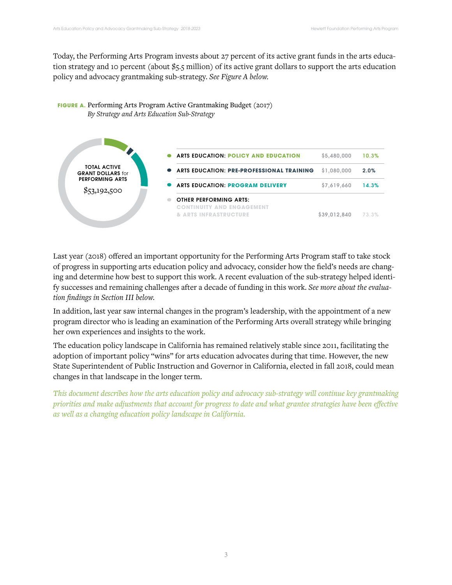Today, the Performing Arts Program invests about 27 percent of its active grant funds in the arts education strategy and 10 percent (about \$5.5 million) of its active grant dollars to support the arts education policy and advocacy grantmaking sub-strategy. *See Figure A below.*





Last year (2018) offered an important opportunity for the Performing Arts Program staff to take stock of progress in supporting arts education policy and advocacy, consider how the field's needs are changing and determine how best to support this work. A recent evaluation of the sub-strategy helped identify successes and remaining challenges after a decade of funding in this work. *See more about the evaluation findings in Section III below.* 

In addition, last year saw internal changes in the program's leadership, with the appointment of a new program director who is leading an examination of the Performing Arts overall strategy while bringing her own experiences and insights to the work.

The education policy landscape in California has remained relatively stable since 2011, facilitating the adoption of important policy "wins" for arts education advocates during that time. However, the new State Superintendent of Public Instruction and Governor in California, elected in fall 2018, could mean changes in that landscape in the longer term.

*This document describes how the arts education policy and advocacy sub-strategy will continue key grantmaking priorities and make adjustments that account for progress to date and what grantee strategies have been effective as well as a changing education policy landscape in California.*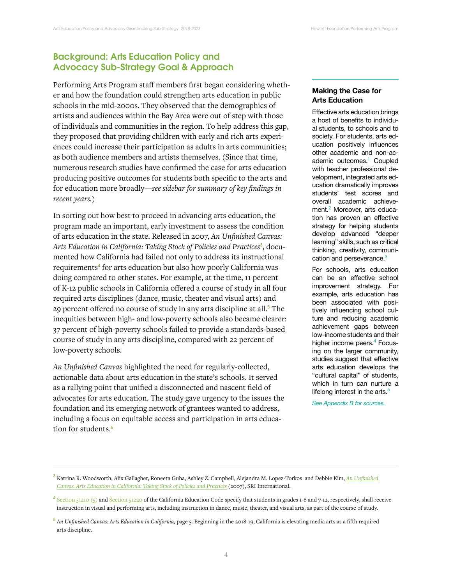# Background: Arts Education Policy and Advocacy Sub-Strategy Goal & Approach

Performing Arts Program staff members first began considering whether and how the foundation could strengthen arts education in public schools in the mid-2000s. They observed that the demographics of artists and audiences within the Bay Area were out of step with those of individuals and communities in the region. To help address this gap, they proposed that providing children with early and rich arts experiences could increase their participation as adults in arts communities; as both audience members and artists themselves. (Since that time, numerous research studies have confirmed the case for arts education producing positive outcomes for students both specific to the arts and for education more broadly—*see sidebar for summary of key findings in recent years.*)

In sorting out how best to proceed in advancing arts education, the program made an important, early investment to assess the condition of arts education in the state. Released in 2007, *An Unfinished Canvas:*  Arts Education in California: Taking Stock of Policies and Practices<sup>3</sup>, documented how California had failed not only to address its instructional requirements<sup>4</sup> for arts education but also how poorly California was doing compared to other states. For example, at the time, 11 percent of K-12 public schools in California offered a course of study in all four required arts disciplines (dance, music, theater and visual arts) and 29 percent offered no course of study in any arts discipline at all.<sup>5</sup> The inequities between high- and low-poverty schools also became clearer: 37 percent of high-poverty schools failed to provide a standards-based course of study in any arts discipline, compared with 22 percent of low-poverty schools.

*An Unfinished Canvas* highlighted the need for regularly-collected, actionable data about arts education in the state's schools. It served as a rallying point that unified a disconnected and nascent field of advocates for arts education. The study gave urgency to the issues the foundation and its emerging network of grantees wanted to address, including a focus on equitable access and participation in arts education for students.<sup>6</sup>

## **Making the Case for Arts Education**

Effective arts education brings a host of benefits to individual students, to schools and to society. For students, arts education positively influences other academic and non-academic outcomes.<sup>1</sup> Coupled with teacher professional development, integrated arts education dramatically improves students' test scores and overall academic achievement.<sup>2</sup> Moreover, arts education has proven an effective strategy for helping students develop advanced "deeper learning" skills, such as critical thinking, creativity, communication and perseverance. $3$ 

For schools, arts education can be an effective school improvement strategy. For example, arts education has been associated with positively influencing school culture and reducing academic achievement gaps between low-income students and their higher income peers.<sup>4</sup> Focusing on the larger community, studies suggest that effective arts education develops the "cultural capital" of students, which in turn can nurture a lifelong interest in the arts. $5$ 

*See Appendix B for sources.* 

<sup>3</sup> Katrina R. Woodworth, Alix Gallagher, Roneeta Guha, Ashley Z. Campbell, Alejandra M. Lopez-Torkos and Debbie Kim, *An Unfinished Canvas. Arts Education in California: Taking Stock of Policies and Practices* (2007), SRI International.

 $4$  Section 51210 (5) and Section 51220</u> of the California Education Code specify that students in grades 1-6 and 7-12, respectively, shall receive instruction in visual and performing arts, including instruction in dance, music, theater, and visual arts, as part of the course of study.

<sup>5</sup> *An Unfinished Canvas: Arts Education in California,* page 5. Beginning in the 2018-19, California is elevating media arts as a fifth required arts discipline.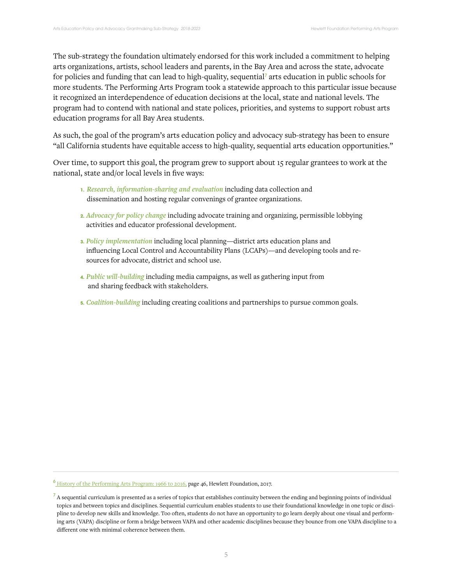The sub-strategy the foundation ultimately endorsed for this work included a commitment to helping arts organizations, artists, school leaders and parents, in the Bay Area and across the state, advocate for policies and funding that can lead to high-quality, sequential<sup>7</sup> arts education in public schools for more students. The Performing Arts Program took a statewide approach to this particular issue because it recognized an interdependence of education decisions at the local, state and national levels. The program had to contend with national and state polices, priorities, and systems to support robust arts education programs for all Bay Area students.

As such, the goal of the program's arts education policy and advocacy sub-strategy has been to ensure "all California students have equitable access to high-quality, sequential arts education opportunities."

Over time, to support this goal, the program grew to support about 15 regular grantees to work at the national, state and/or local levels in five ways:

- **1.** *Research, information-sharing and evaluation* including data collection and dissemination and hosting regular convenings of grantee organizations.
- **2.** *Advocacy for policy change* including advocate training and organizing, permissible lobbying activities and educator professional development.
- **3.** *Policy implementation* including local planning—district arts education plans and influencing Local Control and Accountability Plans (LCAPs)—and developing tools and resources for advocate, district and school use.
- **4.** *Public will-building* including media campaigns, as well as gathering input from and sharing feedback with stakeholders.
- **5.** *Coalition-building* including creating coalitions and partnerships to pursue common goals.

<sup>6</sup> History of the Performing Arts Program: 1966 to 2016, page 46, Hewlett Foundation, 2017.

 $^7$  A sequential curriculum is presented as a series of topics that establishes continuity between the ending and beginning points of individual topics and between topics and disciplines. Sequential curriculum enables students to use their foundational knowledge in one topic or discipline to develop new skills and knowledge. Too often, students do not have an opportunity to go learn deeply about one visual and performing arts (VAPA) discipline or form a bridge between VAPA and other academic disciplines because they bounce from one VAPA discipline to a different one with minimal coherence between them.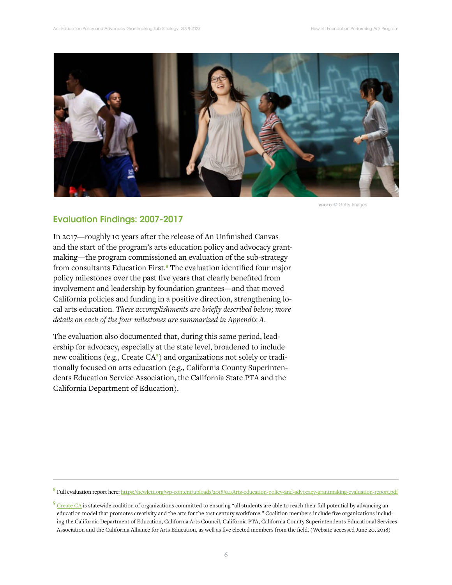

photo *©* Getty Images

## Evaluation Findings: 2007-2017

In 2017—roughly 10 years after the release of An Unfinished Canvas and the start of the program's arts education policy and advocacy grantmaking—the program commissioned an evaluation of the sub-strategy from consultants Education First.<sup>8</sup> The evaluation identified four major policy milestones over the past five years that clearly benefited from involvement and leadership by foundation grantees—and that moved California policies and funding in a positive direction, strengthening local arts education. *These accomplishments are briefly described below; more details on each of the four milestones are summarized in Appendix A.*

The evaluation also documented that, during this same period, leadership for advocacy, especially at the state level, broadened to include new coalitions (e.g., Create  $CA^{\circ}$ ) and organizations not solely or traditionally focused on arts education (e.g., California County Superintendents Education Service Association, the California State PTA and the California Department of Education).

8 Full evaluation report here: https://hewlett.org/wp-content/uploads/2018/04/Arts-education-policy-and-advocacy-grantmaking-evaluation-report.pdf

 $9$  Create CA is statewide coalition of organizations committed to ensuring "all students are able to reach their full potential by advancing an education model that promotes creativity and the arts for the 21st century workforce." Coalition members include five organizations including the California Department of Education, California Arts Council, California PTA, California County Superintendents Educational Services Association and the California Alliance for Arts Education, as well as five elected members from the field. (Website accessed June 20, 2018)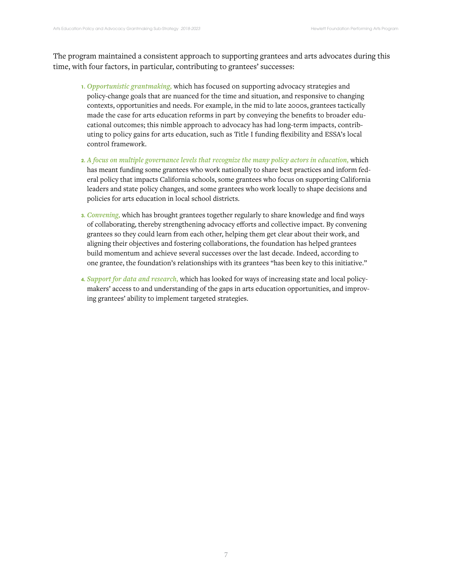The program maintained a consistent approach to supporting grantees and arts advocates during this time, with four factors, in particular, contributing to grantees' successes:

- **1.** *Opportunistic grantmaking,* which has focused on supporting advocacy strategies and policy-change goals that are nuanced for the time and situation, and responsive to changing contexts, opportunities and needs. For example, in the mid to late 2000s, grantees tactically made the case for arts education reforms in part by conveying the benefits to broader educational outcomes; this nimble approach to advocacy has had long-term impacts, contributing to policy gains for arts education, such as Title I funding flexibility and ESSA's local control framework.
- **2.** *A focus on multiple governance levels that recognize the many policy actors in education,* which has meant funding some grantees who work nationally to share best practices and inform federal policy that impacts California schools, some grantees who focus on supporting California leaders and state policy changes, and some grantees who work locally to shape decisions and policies for arts education in local school districts.
- **3.** *Convening,* which has brought grantees together regularly to share knowledge and find ways of collaborating, thereby strengthening advocacy efforts and collective impact. By convening grantees so they could learn from each other, helping them get clear about their work, and aligning their objectives and fostering collaborations, the foundation has helped grantees build momentum and achieve several successes over the last decade. Indeed, according to one grantee, the foundation's relationships with its grantees "has been key to this initiative."
- **4.** *Support for data and research,* which has looked for ways of increasing state and local policymakers' access to and understanding of the gaps in arts education opportunities, and improving grantees' ability to implement targeted strategies.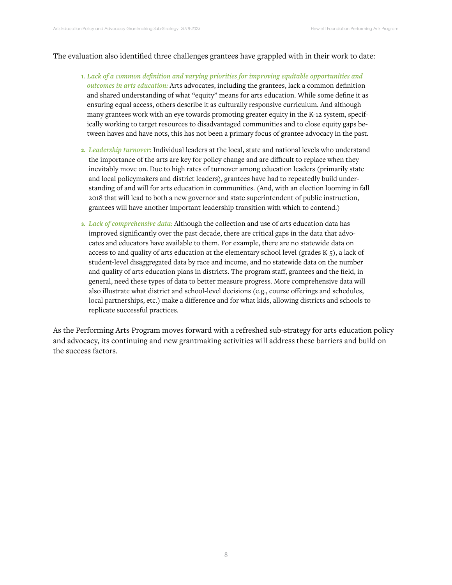## The evaluation also identified three challenges grantees have grappled with in their work to date:

- **1.** *Lack of a common definition and varying priorities for improving equitable opportunities and outcomes in arts education:* Arts advocates, including the grantees, lack a common definition and shared understanding of what "equity" means for arts education. While some define it as ensuring equal access, others describe it as culturally responsive curriculum. And although many grantees work with an eye towards promoting greater equity in the K-12 system, specifically working to target resources to disadvantaged communities and to close equity gaps between haves and have nots, this has not been a primary focus of grantee advocacy in the past.
- **2.** *Leadership turnover:* Individual leaders at the local, state and national levels who understand the importance of the arts are key for policy change and are difficult to replace when they inevitably move on. Due to high rates of turnover among education leaders (primarily state and local policymakers and district leaders), grantees have had to repeatedly build understanding of and will for arts education in communities. (And, with an election looming in fall 2018 that will lead to both a new governor and state superintendent of public instruction, grantees will have another important leadership transition with which to contend.)
- **3.** *Lack of comprehensive data:* Although the collection and use of arts education data has improved significantly over the past decade, there are critical gaps in the data that advocates and educators have available to them. For example, there are no statewide data on access to and quality of arts education at the elementary school level (grades K-5), a lack of student-level disaggregated data by race and income, and no statewide data on the number and quality of arts education plans in districts. The program staff, grantees and the field, in general, need these types of data to better measure progress. More comprehensive data will also illustrate what district and school-level decisions (e.g., course offerings and schedules, local partnerships, etc.) make a difference and for what kids, allowing districts and schools to replicate successful practices.

As the Performing Arts Program moves forward with a refreshed sub-strategy for arts education policy and advocacy, its continuing and new grantmaking activities will address these barriers and build on the success factors.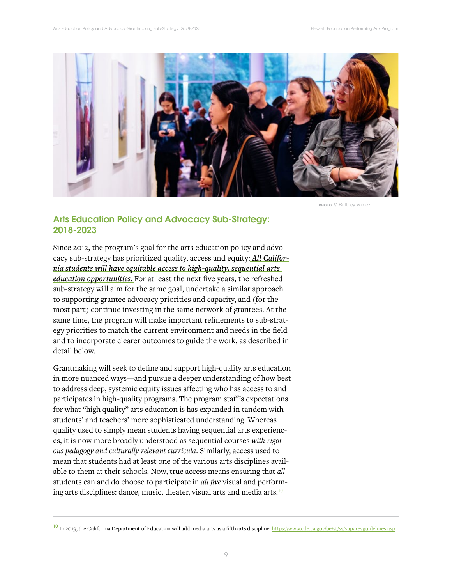

photo *©* Brittney Valdez

# Arts Education Policy and Advocacy Sub-Strategy: 2018-2023

Since 2012, the program's goal for the arts education policy and advocacy sub-strategy has prioritized quality, access and equity: *All California students will have equitable access to high-quality, sequential arts education opportunities.* For at least the next five years, the refreshed sub-strategy will aim for the same goal, undertake a similar approach to supporting grantee advocacy priorities and capacity, and (for the most part) continue investing in the same network of grantees. At the same time, the program will make important refinements to sub-strategy priorities to match the current environment and needs in the field and to incorporate clearer outcomes to guide the work, as described in detail below.

Grantmaking will seek to define and support high-quality arts education in more nuanced ways—and pursue a deeper understanding of how best to address deep, systemic equity issues affecting who has access to and participates in high-quality programs. The program staff's expectations for what "high quality" arts education is has expanded in tandem with students' and teachers' more sophisticated understanding. Whereas quality used to simply mean students having sequential arts experiences, it is now more broadly understood as sequential courses *with rigorous pedagogy and culturally relevant curricula*. Similarly, access used to mean that students had at least one of the various arts disciplines available to them at their schools. Now, true access means ensuring that *all* students can and do choose to participate in *all five* visual and performing arts disciplines: dance, music, theater, visual arts and media arts.<sup>10</sup>

<sup>&</sup>lt;sup>10</sup> In 2019, the California Department of Education will add media arts as a fifth arts discipline: https://www.cde.ca.gov/be/st/ss/vaparevguidelines.asp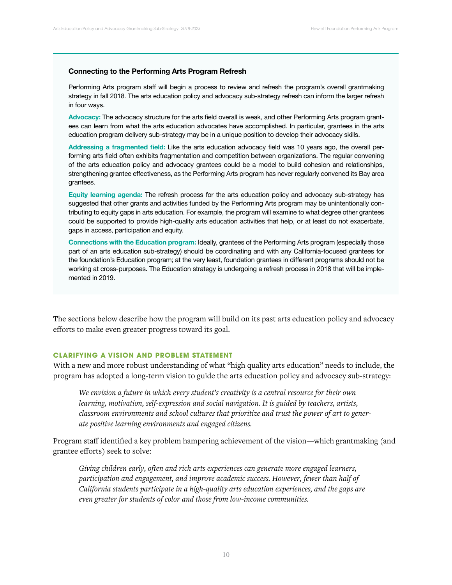#### **Connecting to the Performing Arts Program Refresh**

Performing Arts program staff will begin a process to review and refresh the program's overall grantmaking strategy in fall 2018. The arts education policy and advocacy sub-strategy refresh can inform the larger refresh in four ways.

**Advocacy:** The advocacy structure for the arts field overall is weak, and other Performing Arts program grantees can learn from what the arts education advocates have accomplished. In particular, grantees in the arts education program delivery sub-strategy may be in a unique position to develop their advocacy skills.

**Addressing a fragmented field:** Like the arts education advocacy field was 10 years ago, the overall performing arts field often exhibits fragmentation and competition between organizations. The regular convening of the arts education policy and advocacy grantees could be a model to build cohesion and relationships, strengthening grantee effectiveness, as the Performing Arts program has never regularly convened its Bay area grantees.

**Equity learning agenda:** The refresh process for the arts education policy and advocacy sub-strategy has suggested that other grants and activities funded by the Performing Arts program may be unintentionally contributing to equity gaps in arts education. For example, the program will examine to what degree other grantees could be supported to provide high-quality arts education activities that help, or at least do not exacerbate, gaps in access, participation and equity.

**Connections with the Education program:** Ideally, grantees of the Performing Arts program (especially those part of an arts education sub-strategy) should be coordinating and with any California-focused grantees for the foundation's Education program; at the very least, foundation grantees in different programs should not be working at cross-purposes. The Education strategy is undergoing a refresh process in 2018 that will be implemented in 2019.

The sections below describe how the program will build on its past arts education policy and advocacy efforts to make even greater progress toward its goal.

## **CLARIFYING A VISION AND PROBLEM STATEMENT**

With a new and more robust understanding of what "high quality arts education" needs to include, the program has adopted a long-term vision to guide the arts education policy and advocacy sub-strategy:

*We envision a future in which every student's creativity is a central resource for their own learning, motivation, self-expression and social navigation. It is guided by teachers, artists, classroom environments and school cultures that prioritize and trust the power of art to generate positive learning environments and engaged citizens.* 

Program staff identified a key problem hampering achievement of the vision—which grantmaking (and grantee efforts) seek to solve:

*Giving children early, often and rich arts experiences can generate more engaged learners, participation and engagement, and improve academic success. However, fewer than half of California students participate in a high-quality arts education experiences, and the gaps are even greater for students of color and those from low-income communities.*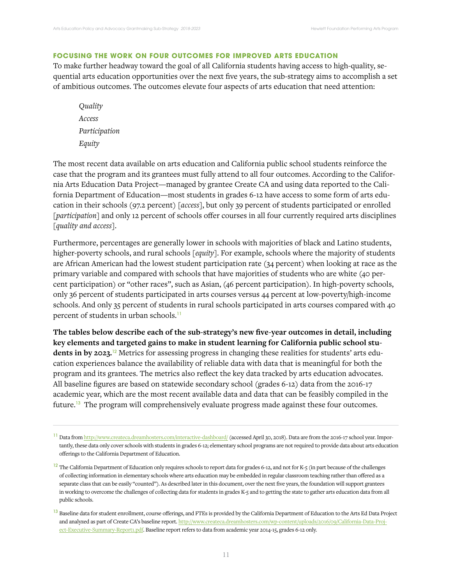## **FOCUSING THE WORK ON FOUR OUTCOMES FOR IMPROVED ARTS EDUCATION**

To make further headway toward the goal of all California students having access to high-quality, sequential arts education opportunities over the next five years, the sub-strategy aims to accomplish a set of ambitious outcomes. The outcomes elevate four aspects of arts education that need attention:

*Quality Access Participation Equity*

The most recent data available on arts education and California public school students reinforce the case that the program and its grantees must fully attend to all four outcomes. According to the California Arts Education Data Project—managed by grantee Create CA and using data reported to the California Department of Education—most students in grades 6-12 have access to some form of arts education in their schools (97.2 percent) [*access*], but only 39 percent of students participated or enrolled [*participation*] and only 12 percent of schools offer courses in all four currently required arts disciplines [*quality and access*].

Furthermore, percentages are generally lower in schools with majorities of black and Latino students, higher-poverty schools, and rural schools [*equity*]. For example, schools where the majority of students are African American had the lowest student participation rate (34 percent) when looking at race as the primary variable and compared with schools that have majorities of students who are white (40 percent participation) or "other races", such as Asian, (46 percent participation). In high-poverty schools, only 36 percent of students participated in arts courses versus 44 percent at low-poverty/high-income schools. And only 35 percent of students in rural schools participated in arts courses compared with 40 percent of students in urban schools.<sup>11</sup>

**The tables below describe each of the sub-strategy's new five-year outcomes in detail, including key elements and targeted gains to make in student learning for California public school stu**dents in by 2023.<sup>12</sup> Metrics for assessing progress in changing these realities for students' arts education experiences balance the availability of reliable data with data that is meaningful for both the program and its grantees. The metrics also reflect the key data tracked by arts education advocates. All baseline figures are based on statewide secondary school (grades 6-12) data from the 2016-17 academic year, which are the most recent available data and data that can be feasibly compiled in the future.13 The program will comprehensively evaluate progress made against these four outcomes.

<sup>&</sup>lt;sup>11</sup> Data from http://www.createca.dreamhosters.com/interactive-dashboard/ (accessed April 30, 2018). Data are from the 2016-17 school year. Importantly, these data only cover schools with students in grades 6-12; elementary school programs are not required to provide data about arts education offerings to the California Department of Education.

<sup>&</sup>lt;sup>12</sup> The California Department of Education only requires schools to report data for grades 6-12, and not for K-5 (in part because of the challenges of collecting information in elementary schools where arts education may be embedded in regular classroom teaching rather than offered as a separate class that can be easily "counted"). As described later in this document, over the next five years, the foundation will support grantees in working to overcome the challenges of collecting data for students in grades K-5 and to getting the state to gather arts education data from all public schools.

<sup>&</sup>lt;sup>13</sup> Baseline data for student enrollment, course offerings, and FTEs is provided by the California Department of Education to the Arts Ed Data Project and analyzed as part of Create CA's baseline report. http://www.createca.dreamhosters.com/wp-content/uploads/2016/09/California-Data-Project-Executive-Summary-Report1.pdf. Baseline report refers to data from academic year 2014-15, grades 6-12 only.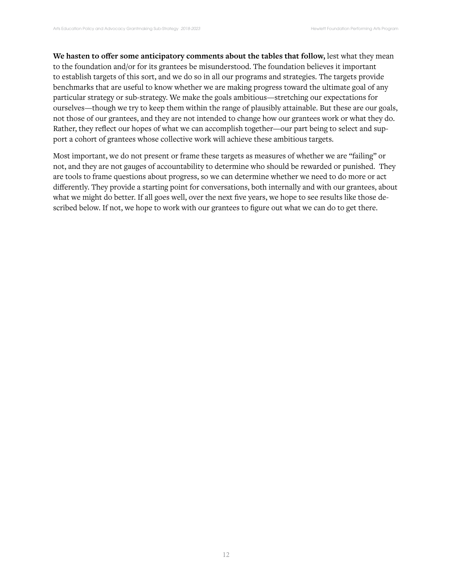**We hasten to offer some anticipatory comments about the tables that follow,** lest what they mean to the foundation and/or for its grantees be misunderstood. The foundation believes it important to establish targets of this sort, and we do so in all our programs and strategies. The targets provide benchmarks that are useful to know whether we are making progress toward the ultimate goal of any particular strategy or sub-strategy. We make the goals ambitious—stretching our expectations for ourselves—though we try to keep them within the range of plausibly attainable. But these are our goals, not those of our grantees, and they are not intended to change how our grantees work or what they do. Rather, they reflect our hopes of what we can accomplish together—our part being to select and support a cohort of grantees whose collective work will achieve these ambitious targets.

Most important, we do not present or frame these targets as measures of whether we are "failing" or not, and they are not gauges of accountability to determine who should be rewarded or punished. They are tools to frame questions about progress, so we can determine whether we need to do more or act differently. They provide a starting point for conversations, both internally and with our grantees, about what we might do better. If all goes well, over the next five years, we hope to see results like those described below. If not, we hope to work with our grantees to figure out what we can do to get there.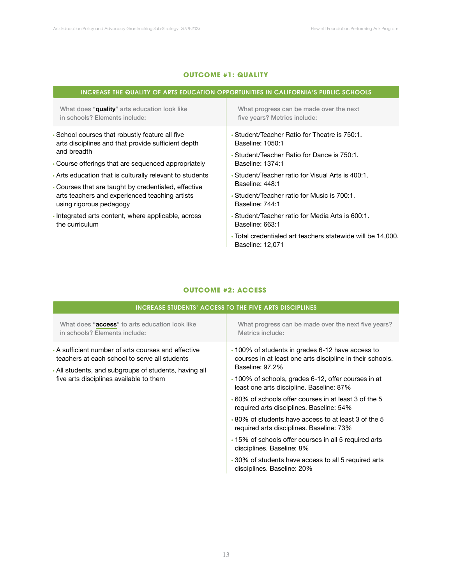## **OUTCOME #1: QUALITY**

| INCREASE THE QUALITY OF ARTS EDUCATION OPPORTUNITIES IN CALIFORNIA'S PUBLIC SCHOOLS    |  |  |
|----------------------------------------------------------------------------------------|--|--|
| What progress can be made over the next<br>five years? Metrics include:                |  |  |
| • Student/Teacher Ratio for Theatre is 750:1.<br>Baseline: 1050:1                      |  |  |
| • Student/Teacher Ratio for Dance is 750:1.<br>Baseline: 1374:1                        |  |  |
| • Student/Teacher ratio for Visual Arts is 400:1.<br>Baseline: 448:1                   |  |  |
| • Student/Teacher ratio for Music is 700:1.<br>Baseline: 744:1                         |  |  |
| • Student/Teacher ratio for Media Arts is 600:1.<br>Baseline: 663:1                    |  |  |
| • Total credentialed art teachers statewide will be 14,000.<br><b>Baseline: 12,071</b> |  |  |
|                                                                                        |  |  |

## **OUTCOME #2: ACCESS**

|                                                                                                                                                                                                          | <b>INCREASE STUDENTS' ACCESS TO THE FIVE ARTS DISCIPLINES</b>                                                                                                                         |
|----------------------------------------------------------------------------------------------------------------------------------------------------------------------------------------------------------|---------------------------------------------------------------------------------------------------------------------------------------------------------------------------------------|
| What does "access" to arts education look like<br>in schools? Elements include:                                                                                                                          | What progress can be made over the next five years?<br>Metrics include:                                                                                                               |
| • A sufficient number of arts courses and effective<br>teachers at each school to serve all students<br>• All students, and subgroups of students, having all<br>five arts disciplines available to them | .100% of students in grades 6-12 have access to<br>courses in at least one arts discipline in their schools.<br>Baseline: 97.2%<br>.100% of schools, grades 6-12, offer courses in at |
|                                                                                                                                                                                                          | least one arts discipline. Baseline: 87%<br>.60% of schools offer courses in at least 3 of the 5<br>required arts disciplines. Baseline: 54%                                          |
|                                                                                                                                                                                                          | ⋅80% of students have access to at least 3 of the 5<br>required arts disciplines. Baseline: 73%<br>• 15% of schools offer courses in all 5 required arts<br>disciplines. Baseline: 8% |
|                                                                                                                                                                                                          | •30% of students have access to all 5 required arts<br>disciplines. Baseline: 20%                                                                                                     |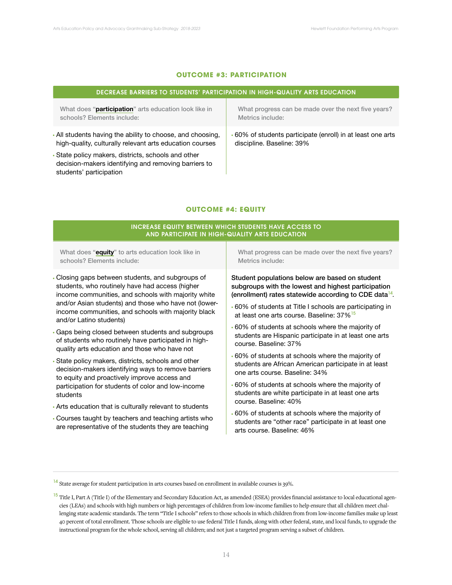## **OUTCOME #3: PARTICIPATION**

| DECREASE BARRIERS TO STUDENTS' PARTICIPATION IN HIGH-QUALITY ARTS EDUCATION                                                          |                                                           |  |
|--------------------------------------------------------------------------------------------------------------------------------------|-----------------------------------------------------------|--|
| What does "participation" arts education look like in                                                                                | What progress can be made over the next five years?       |  |
| schools? Elements include:                                                                                                           | Metrics include:                                          |  |
| All students having the ability to choose, and choosing,                                                                             | 60% of students participate (enroll) in at least one arts |  |
| high-quality, culturally relevant arts education courses                                                                             | discipline. Baseline: 39%                                 |  |
| State policy makers, districts, schools and other<br>decision-makers identifying and removing barriers to<br>students' participation |                                                           |  |

## **OUTCOME #4: EQUITY**

## INCREASE EQUITY BETWEEN WHICH STUDENTS HAVE ACCESS TO AND PARTICIPATE IN HIGH-QUALITY ARTS EDUCATION

What does "**equity**" to arts education look like in schools? Elements include:

- Closing gaps between students, and subgroups of students, who routinely have had access (higher income communities, and schools with majority white and/or Asian students) and those who have not (lowerincome communities, and schools with majority black and/or Latino students)
- Gaps being closed between students and subgroups of students who routinely have participated in highquality arts education and those who have not
- State policy makers, districts, schools and other decision-makers identifying ways to remove barriers to equity and proactively improve access and participation for students of color and low-income students
- Arts education that is culturally relevant to students
- Courses taught by teachers and teaching artists who are representative of the students they are teaching

What progress can be made over the next five years? Metrics include:

Student populations below are based on student subgroups with the lowest and highest participation (enrollment) rates statewide according to CDE data<sup>14</sup>*.* 

- 60% of students at Title I schools are participating in at least one arts course. Baseline: 37%<sup>15</sup>
- 60% of students at schools where the majority of students are Hispanic participate in at least one arts course. Baseline: 37%
- 60% of students at schools where the majority of students are African American participate in at least one arts course. Baseline: 34%
- 60% of students at schools where the majority of students are white participate in at least one arts course. Baseline: 40%
- 60% of students at schools where the majority of students are "other race" participate in at least one arts course. Baseline: 46%

<sup>&</sup>lt;sup>14</sup> State average for student participation in arts courses based on enrollment in available courses is 39%.

<sup>&</sup>lt;sup>15</sup> Title I, Part A (Title I) of the Elementary and Secondary Education Act, as amended (ESEA) provides financial assistance to local educational agencies (LEAs) and schools with high numbers or high percentages of children from low-income families to help ensure that all children meet challenging state academic standards. The term "Title I schools" refers to those schools in which children from from low-income families make up least 40 percent of total enrollment. Those schools are eligible to use federal Title I funds, along with other federal, state, and local funds, to upgrade the instructional program for the whole school, serving all children; and not just a targeted program serving a subset of children.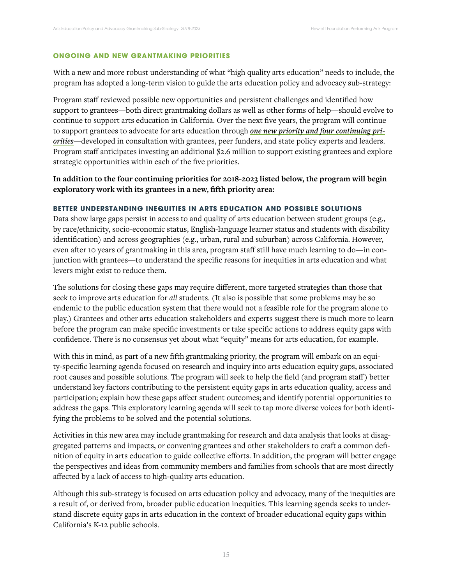## **ONGOING AND NEW GRANTMAKING PRIORITIES**

With a new and more robust understanding of what "high quality arts education" needs to include, the program has adopted a long-term vision to guide the arts education policy and advocacy sub-strategy:

Program staff reviewed possible new opportunities and persistent challenges and identified how support to grantees—both direct grantmaking dollars as well as other forms of help—should evolve to continue to support arts education in California. Over the next five years, the program will continue to support grantees to advocate for arts education through *one new priority and four continuing priorities*—developed in consultation with grantees, peer funders, and state policy experts and leaders. Program staff anticipates investing an additional \$2.6 million to support existing grantees and explore strategic opportunities within each of the five priorities.

**In addition to the four continuing priorities for 2018-2023 listed below, the program will begin exploratory work with its grantees in a new, fifth priority area:**

## **BETTER UNDERSTANDING INEQUITIES IN ARTS EDUCATION AND POSSIBLE SOLUTIONS**

Data show large gaps persist in access to and quality of arts education between student groups (e.g., by race/ethnicity, socio-economic status, English-language learner status and students with disability identification) and across geographies (e.g., urban, rural and suburban) across California. However, even after 10 years of grantmaking in this area, program staff still have much learning to do—in conjunction with grantees—to understand the specific reasons for inequities in arts education and what levers might exist to reduce them.

The solutions for closing these gaps may require different, more targeted strategies than those that seek to improve arts education for *all* students. (It also is possible that some problems may be so endemic to the public education system that there would not a feasible role for the program alone to play.) Grantees and other arts education stakeholders and experts suggest there is much more to learn before the program can make specific investments or take specific actions to address equity gaps with confidence. There is no consensus yet about what "equity" means for arts education, for example.

With this in mind, as part of a new fifth grantmaking priority, the program will embark on an equity-specific learning agenda focused on research and inquiry into arts education equity gaps, associated root causes and possible solutions. The program will seek to help the field (and program staff) better understand key factors contributing to the persistent equity gaps in arts education quality, access and participation; explain how these gaps affect student outcomes; and identify potential opportunities to address the gaps. This exploratory learning agenda will seek to tap more diverse voices for both identifying the problems to be solved and the potential solutions.

Activities in this new area may include grantmaking for research and data analysis that looks at disaggregated patterns and impacts, or convening grantees and other stakeholders to craft a common definition of equity in arts education to guide collective efforts. In addition, the program will better engage the perspectives and ideas from community members and families from schools that are most directly affected by a lack of access to high-quality arts education.

Although this sub-strategy is focused on arts education policy and advocacy, many of the inequities are a result of, or derived from, broader public education inequities. This learning agenda seeks to understand discrete equity gaps in arts education in the context of broader educational equity gaps within California's K-12 public schools.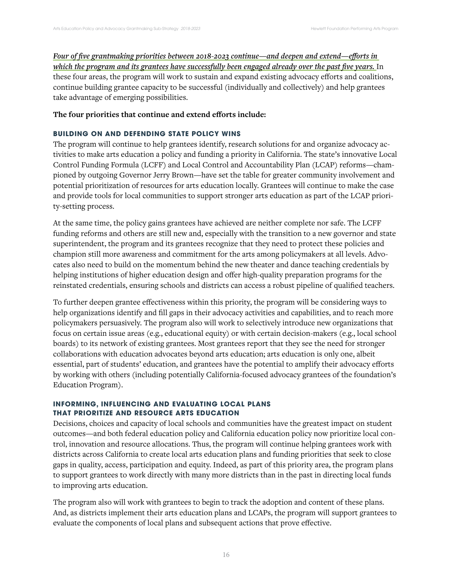*Four of five grantmaking priorities between 2018-2023 continue—and deepen and extend—efforts in*  which the program and its grantees have successfully been engaged already over the past five years. In these four areas, the program will work to sustain and expand existing advocacy efforts and coalitions, continue building grantee capacity to be successful (individually and collectively) and help grantees take advantage of emerging possibilities.

## **The four priorities that continue and extend efforts include:**

## **BUILDING ON AND DEFENDING STATE POLICY WINS**

The program will continue to help grantees identify, research solutions for and organize advocacy activities to make arts education a policy and funding a priority in California. The state's innovative Local Control Funding Formula (LCFF) and Local Control and Accountability Plan (LCAP) reforms—championed by outgoing Governor Jerry Brown—have set the table for greater community involvement and potential prioritization of resources for arts education locally. Grantees will continue to make the case and provide tools for local communities to support stronger arts education as part of the LCAP priority-setting process.

At the same time, the policy gains grantees have achieved are neither complete nor safe. The LCFF funding reforms and others are still new and, especially with the transition to a new governor and state superintendent, the program and its grantees recognize that they need to protect these policies and champion still more awareness and commitment for the arts among policymakers at all levels. Advocates also need to build on the momentum behind the new theater and dance teaching credentials by helping institutions of higher education design and offer high-quality preparation programs for the reinstated credentials, ensuring schools and districts can access a robust pipeline of qualified teachers.

To further deepen grantee effectiveness within this priority, the program will be considering ways to help organizations identify and fill gaps in their advocacy activities and capabilities, and to reach more policymakers persuasively. The program also will work to selectively introduce new organizations that focus on certain issue areas (e.g., educational equity) or with certain decision-makers (e.g., local school boards) to its network of existing grantees. Most grantees report that they see the need for stronger collaborations with education advocates beyond arts education; arts education is only one, albeit essential, part of students' education, and grantees have the potential to amplify their advocacy efforts by working with others (including potentially California-focused advocacy grantees of the foundation's Education Program).

## **INFORMING, INFLUENCING AND EVALUATING LOCAL PLANS THAT PRIORITIZE AND RESOURCE ARTS EDUCATION**

Decisions, choices and capacity of local schools and communities have the greatest impact on student outcomes—and both federal education policy and California education policy now prioritize local control, innovation and resource allocations. Thus, the program will continue helping grantees work with districts across California to create local arts education plans and funding priorities that seek to close gaps in quality, access, participation and equity. Indeed, as part of this priority area, the program plans to support grantees to work directly with many more districts than in the past in directing local funds to improving arts education.

The program also will work with grantees to begin to track the adoption and content of these plans. And, as districts implement their arts education plans and LCAPs, the program will support grantees to evaluate the components of local plans and subsequent actions that prove effective.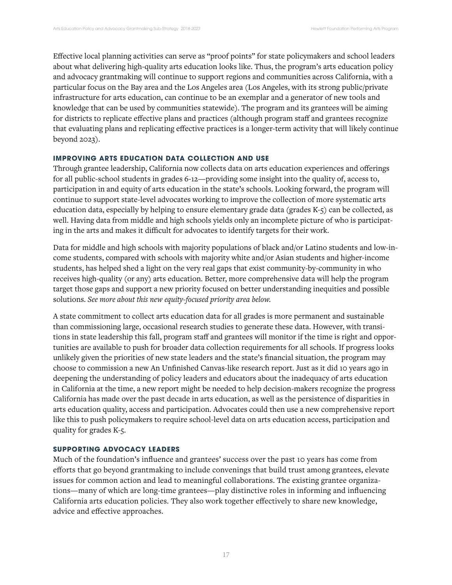Effective local planning activities can serve as "proof points" for state policymakers and school leaders about what delivering high-quality arts education looks like. Thus, the program's arts education policy and advocacy grantmaking will continue to support regions and communities across California, with a particular focus on the Bay area and the Los Angeles area (Los Angeles, with its strong public/private infrastructure for arts education, can continue to be an exemplar and a generator of new tools and knowledge that can be used by communities statewide). The program and its grantees will be aiming for districts to replicate effective plans and practices (although program staff and grantees recognize that evaluating plans and replicating effective practices is a longer-term activity that will likely continue beyond 2023).

## **IMPROVING ARTS EDUCATION DATA COLLECTION AND USE**

Through grantee leadership, California now collects data on arts education experiences and offerings for all public-school students in grades 6-12—providing some insight into the quality of, access to, participation in and equity of arts education in the state's schools. Looking forward, the program will continue to support state-level advocates working to improve the collection of more systematic arts education data, especially by helping to ensure elementary grade data (grades K-5) can be collected, as well. Having data from middle and high schools yields only an incomplete picture of who is participating in the arts and makes it difficult for advocates to identify targets for their work.

Data for middle and high schools with majority populations of black and/or Latino students and low-income students, compared with schools with majority white and/or Asian students and higher-income students, has helped shed a light on the very real gaps that exist community-by-community in who receives high-quality (or any) arts education. Better, more comprehensive data will help the program target those gaps and support a new priority focused on better understanding inequities and possible solutions. *See more about this new equity-focused priority area below.* 

A state commitment to collect arts education data for all grades is more permanent and sustainable than commissioning large, occasional research studies to generate these data. However, with transitions in state leadership this fall, program staff and grantees will monitor if the time is right and opportunities are available to push for broader data collection requirements for all schools. If progress looks unlikely given the priorities of new state leaders and the state's financial situation, the program may choose to commission a new An Unfinished Canvas-like research report. Just as it did 10 years ago in deepening the understanding of policy leaders and educators about the inadequacy of arts education in California at the time, a new report might be needed to help decision-makers recognize the progress California has made over the past decade in arts education, as well as the persistence of disparities in arts education quality, access and participation. Advocates could then use a new comprehensive report like this to push policymakers to require school-level data on arts education access, participation and quality for grades K-5.

## **SUPPORTING ADVOCACY LEADERS**

Much of the foundation's influence and grantees' success over the past 10 years has come from efforts that go beyond grantmaking to include convenings that build trust among grantees, elevate issues for common action and lead to meaningful collaborations. The existing grantee organizations—many of which are long-time grantees—play distinctive roles in informing and influencing California arts education policies. They also work together effectively to share new knowledge, advice and effective approaches.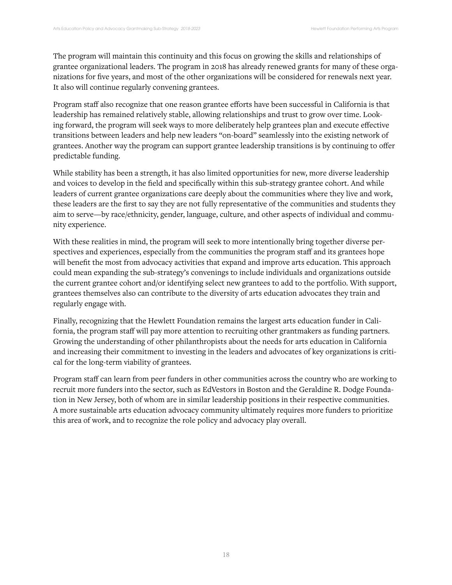The program will maintain this continuity and this focus on growing the skills and relationships of grantee organizational leaders. The program in 2018 has already renewed grants for many of these organizations for five years, and most of the other organizations will be considered for renewals next year. It also will continue regularly convening grantees.

Program staff also recognize that one reason grantee efforts have been successful in California is that leadership has remained relatively stable, allowing relationships and trust to grow over time. Looking forward, the program will seek ways to more deliberately help grantees plan and execute effective transitions between leaders and help new leaders "on-board" seamlessly into the existing network of grantees. Another way the program can support grantee leadership transitions is by continuing to offer predictable funding.

While stability has been a strength, it has also limited opportunities for new, more diverse leadership and voices to develop in the field and specifically within this sub-strategy grantee cohort. And while leaders of current grantee organizations care deeply about the communities where they live and work, these leaders are the first to say they are not fully representative of the communities and students they aim to serve—by race/ethnicity, gender, language, culture, and other aspects of individual and community experience.

With these realities in mind, the program will seek to more intentionally bring together diverse perspectives and experiences, especially from the communities the program staff and its grantees hope will benefit the most from advocacy activities that expand and improve arts education. This approach could mean expanding the sub-strategy's convenings to include individuals and organizations outside the current grantee cohort and/or identifying select new grantees to add to the portfolio. With support, grantees themselves also can contribute to the diversity of arts education advocates they train and regularly engage with.

Finally, recognizing that the Hewlett Foundation remains the largest arts education funder in California, the program staff will pay more attention to recruiting other grantmakers as funding partners. Growing the understanding of other philanthropists about the needs for arts education in California and increasing their commitment to investing in the leaders and advocates of key organizations is critical for the long-term viability of grantees.

Program staff can learn from peer funders in other communities across the country who are working to recruit more funders into the sector, such as EdVestors in Boston and the Geraldine R. Dodge Foundation in New Jersey, both of whom are in similar leadership positions in their respective communities. A more sustainable arts education advocacy community ultimately requires more funders to prioritize this area of work, and to recognize the role policy and advocacy play overall.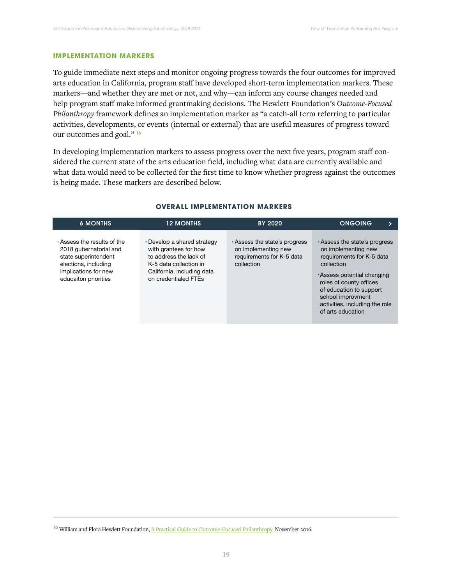## **IMPLEMENTATION MARKERS**

To guide immediate next steps and monitor ongoing progress towards the four outcomes for improved arts education in California, program staff have developed short-term implementation markers. These markers—and whether they are met or not, and why—can inform any course changes needed and help program staff make informed grantmaking decisions. The Hewlett Foundation's *Outcome-Focused Philanthropy* framework defines an implementation marker as "a catch-all term referring to particular activities, developments, or events (internal or external) that are useful measures of progress toward our outcomes and goal." <sup>16</sup>

In developing implementation markers to assess progress over the next five years, program staff considered the current state of the arts education field, including what data are currently available and what data would need to be collected for the first time to know whether progress against the outcomes is being made. These markers are described below.

| <b>6 MONTHS</b>                                                                                                                                             | <b>12 MONTHS</b>                                                                                                                                               | <b>BY 2020</b>                                                                                  | <b>ONGOING</b>                                                                                                                                                                                                                                               |
|-------------------------------------------------------------------------------------------------------------------------------------------------------------|----------------------------------------------------------------------------------------------------------------------------------------------------------------|-------------------------------------------------------------------------------------------------|--------------------------------------------------------------------------------------------------------------------------------------------------------------------------------------------------------------------------------------------------------------|
| $\cdot$ Assess the results of the<br>2018 gubernatorial and<br>state superintendent<br>elections, including<br>implications for new<br>educaiton priorities | • Develop a shared strategy<br>with grantees for how<br>to address the lack of<br>K-5 data collection in<br>California, including data<br>on credentialed FTEs | . Assess the state's progress<br>on implementing new<br>requirements for K-5 data<br>collection | Assess the state's progress<br>on implementing new<br>requirements for K-5 data<br>collection<br>Assess potential changing<br>roles of county offices<br>of education to support<br>school improvment<br>activities, including the role<br>of arts education |

#### **OVERALL IMPLEMENTATION MARKERS**

<sup>&</sup>lt;sup>16</sup> William and Flora Hewlett Foundation, A Practical Guide to Outcome-Focused Philanthropy. November 2016.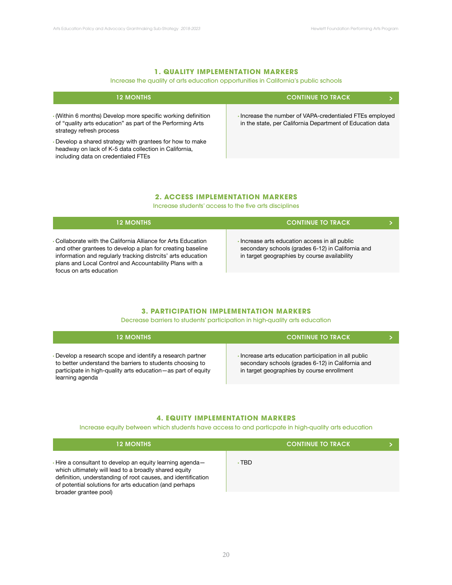## **1. QUALITY IMPLEMENTATION MARKERS**

## Increase the quality of arts education opportunities in California's public schools

| <b>12 MONTHS</b>                                                                                                                                        | <b>CONTINUE TO TRACK</b>                                                                                            |
|---------------------------------------------------------------------------------------------------------------------------------------------------------|---------------------------------------------------------------------------------------------------------------------|
| . (Within 6 months) Develop more specific working definition<br>of "quality arts education" as part of the Performing Arts<br>strategy refresh process  | Increase the number of VAPA-credentialed FTEs employed<br>in the state, per California Department of Education data |
| Develop a shared strategy with grantees for how to make<br>headway on lack of K-5 data collection in California,<br>including data on credentialed FTEs |                                                                                                                     |

#### **2. ACCESS IMPLEMENTATION MARKERS**

Increase students' access to the five arts disciplines

| <b>12 MONTHS</b>                                                                                                                                                                                                                                                                  | <b>CONTINUE TO TRACK.</b>                                                                                                                         |  |
|-----------------------------------------------------------------------------------------------------------------------------------------------------------------------------------------------------------------------------------------------------------------------------------|---------------------------------------------------------------------------------------------------------------------------------------------------|--|
| • Collaborate with the California Alliance for Arts Education<br>and other grantees to develop a plan for creating baseline<br>information and regularly tracking distrcits' arts education<br>plans and Local Control and Accountability Plans with a<br>focus on arts education | Increase arts education access in all public<br>secondary schools (grades 6-12) in California and<br>in target geographies by course availability |  |

## **3. PARTICIPATION IMPLEMENTATION MARKERS**

Decrease barriers to students' participation in high-quality arts education

| <b>12 MONTHS</b>                                                                                                                                                                                           | <b>CONTINUE TO TRACK</b>                                                                                                                               |  |
|------------------------------------------------------------------------------------------------------------------------------------------------------------------------------------------------------------|--------------------------------------------------------------------------------------------------------------------------------------------------------|--|
| Develop a research scope and identify a research partner<br>to better understand the barriers to students choosing to<br>participate in high-quality arts education - as part of equity<br>learning agenda | Increase arts education participation in all public<br>secondary schools (grades 6-12) in California and<br>in target geographies by course enrollment |  |

## **4. EQUITY IMPLEMENTATION MARKERS**

Increase equity between which students have access to and particpate in high-quality arts education

| <b>12 MONTHS</b>                                                                                                                                                                                                                                                               |       | <b>CONTINUE TO TRACK</b> |  |
|--------------------------------------------------------------------------------------------------------------------------------------------------------------------------------------------------------------------------------------------------------------------------------|-------|--------------------------|--|
| $\cdot$ Hire a consultant to develop an equity learning agenda $-$<br>which ultimately will lead to a broadly shared equity<br>definition, understanding of root causes, and identification<br>of potential solutions for arts education (and perhaps<br>broader grantee pool) | ∙ TBD |                          |  |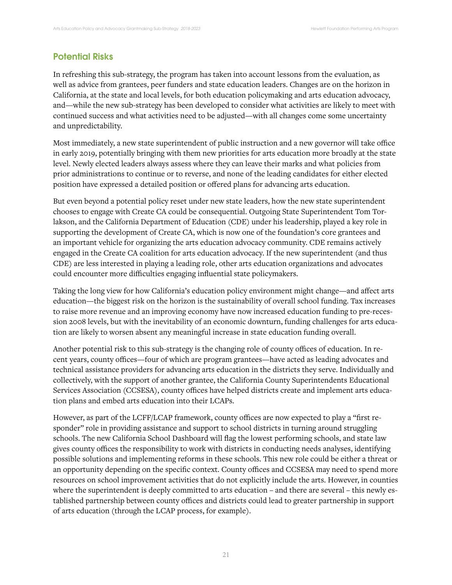## Potential Risks

In refreshing this sub-strategy, the program has taken into account lessons from the evaluation, as well as advice from grantees, peer funders and state education leaders. Changes are on the horizon in California, at the state and local levels, for both education policymaking and arts education advocacy, and—while the new sub-strategy has been developed to consider what activities are likely to meet with continued success and what activities need to be adjusted—with all changes come some uncertainty and unpredictability.

Most immediately, a new state superintendent of public instruction and a new governor will take office in early 2019, potentially bringing with them new priorities for arts education more broadly at the state level. Newly elected leaders always assess where they can leave their marks and what policies from prior administrations to continue or to reverse, and none of the leading candidates for either elected position have expressed a detailed position or offered plans for advancing arts education.

But even beyond a potential policy reset under new state leaders, how the new state superintendent chooses to engage with Create CA could be consequential. Outgoing State Superintendent Tom Torlakson, and the California Department of Education (CDE) under his leadership, played a key role in supporting the development of Create CA, which is now one of the foundation's core grantees and an important vehicle for organizing the arts education advocacy community. CDE remains actively engaged in the Create CA coalition for arts education advocacy. If the new superintendent (and thus CDE) are less interested in playing a leading role, other arts education organizations and advocates could encounter more difficulties engaging influential state policymakers.

Taking the long view for how California's education policy environment might change—and affect arts education—the biggest risk on the horizon is the sustainability of overall school funding. Tax increases to raise more revenue and an improving economy have now increased education funding to pre-recession 2008 levels, but with the inevitability of an economic downturn, funding challenges for arts education are likely to worsen absent any meaningful increase in state education funding overall.

Another potential risk to this sub-strategy is the changing role of county offices of education. In recent years, county offices—four of which are program grantees—have acted as leading advocates and technical assistance providers for advancing arts education in the districts they serve. Individually and collectively, with the support of another grantee, the California County Superintendents Educational Services Association (CCSESA), county offices have helped districts create and implement arts education plans and embed arts education into their LCAPs.

However, as part of the LCFF/LCAP framework, county offices are now expected to play a "first responder" role in providing assistance and support to school districts in turning around struggling schools. The new California School Dashboard will flag the lowest performing schools, and state law gives county offices the responsibility to work with districts in conducting needs analyses, identifying possible solutions and implementing reforms in these schools. This new role could be either a threat or an opportunity depending on the specific context. County offices and CCSESA may need to spend more resources on school improvement activities that do not explicitly include the arts. However, in counties where the superintendent is deeply committed to arts education - and there are several - this newly established partnership between county offices and districts could lead to greater partnership in support of arts education (through the LCAP process, for example).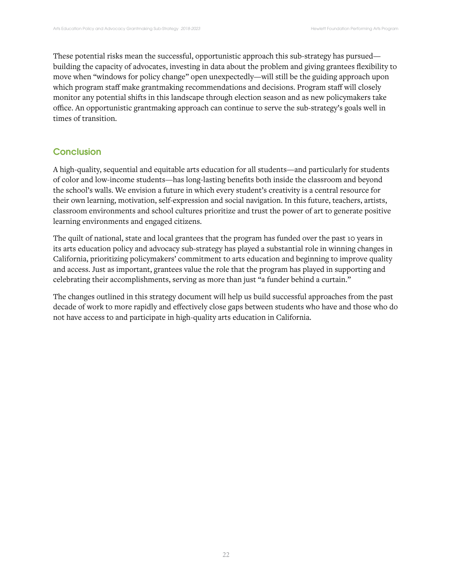These potential risks mean the successful, opportunistic approach this sub-strategy has pursued building the capacity of advocates, investing in data about the problem and giving grantees flexibility to move when "windows for policy change" open unexpectedly—will still be the guiding approach upon which program staff make grantmaking recommendations and decisions. Program staff will closely monitor any potential shifts in this landscape through election season and as new policymakers take office. An opportunistic grantmaking approach can continue to serve the sub-strategy's goals well in times of transition.

# **Conclusion**

A high-quality, sequential and equitable arts education for all students—and particularly for students of color and low-income students—has long-lasting benefits both inside the classroom and beyond the school's walls. We envision a future in which every student's creativity is a central resource for their own learning, motivation, self-expression and social navigation. In this future, teachers, artists, classroom environments and school cultures prioritize and trust the power of art to generate positive learning environments and engaged citizens.

The quilt of national, state and local grantees that the program has funded over the past 10 years in its arts education policy and advocacy sub-strategy has played a substantial role in winning changes in California, prioritizing policymakers' commitment to arts education and beginning to improve quality and access. Just as important, grantees value the role that the program has played in supporting and celebrating their accomplishments, serving as more than just "a funder behind a curtain."

The changes outlined in this strategy document will help us build successful approaches from the past decade of work to more rapidly and effectively close gaps between students who have and those who do not have access to and participate in high-quality arts education in California.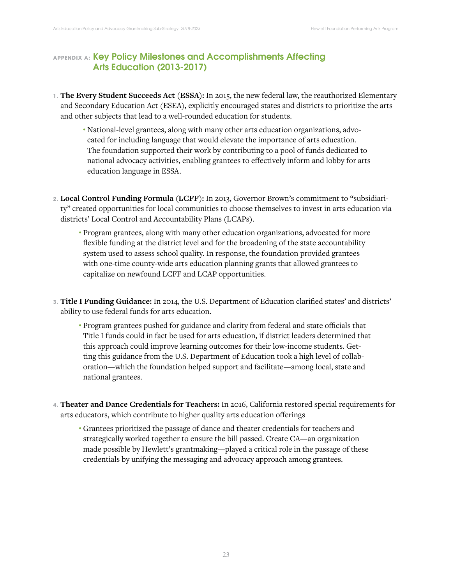# **APPENDIX A: Key Policy Milestones and Accomplishments Affecting** Arts Education (2013-2017)

- **1. The Every Student Succeeds Act (ESSA):** In 2015, the new federal law, the reauthorized Elementary and Secondary Education Act (ESEA), explicitly encouraged states and districts to prioritize the arts and other subjects that lead to a well-rounded education for students.
	- National-level grantees, along with many other arts education organizations, advocated for including language that would elevate the importance of arts education. The foundation supported their work by contributing to a pool of funds dedicated to national advocacy activities, enabling grantees to effectively inform and lobby for arts education language in ESSA.
- **2. Local Control Funding Formula (LCFF):** In 2013, Governor Brown's commitment to "subsidiarity" created opportunities for local communities to choose themselves to invest in arts education via districts' Local Control and Accountability Plans (LCAPs).
	- Program grantees, along with many other education organizations, advocated for more flexible funding at the district level and for the broadening of the state accountability system used to assess school quality. In response, the foundation provided grantees with one-time county-wide arts education planning grants that allowed grantees to capitalize on newfound LCFF and LCAP opportunities.
- **3. Title I Funding Guidance:** In 2014, the U.S. Department of Education clarified states' and districts' ability to use federal funds for arts education.
	- Program grantees pushed for guidance and clarity from federal and state officials that Title I funds could in fact be used for arts education, if district leaders determined that this approach could improve learning outcomes for their low-income students. Getting this guidance from the U.S. Department of Education took a high level of collaboration—which the foundation helped support and facilitate—among local, state and national grantees.
- **4. Theater and Dance Credentials for Teachers:** In 2016, California restored special requirements for arts educators, which contribute to higher quality arts education offerings
	- Grantees prioritized the passage of dance and theater credentials for teachers and strategically worked together to ensure the bill passed. Create CA—an organization made possible by Hewlett's grantmaking—played a critical role in the passage of these credentials by unifying the messaging and advocacy approach among grantees.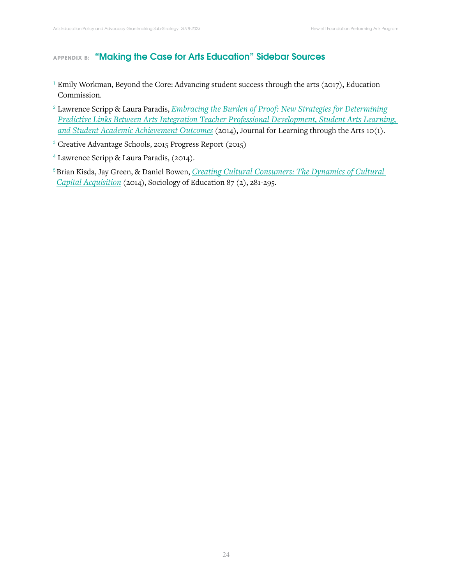# **APPENDIX B: "Making the Case for Arts Education" Sidebar Sources**

- <sup>1</sup> Emily Workman, Beyond the Core: Advancing student success through the arts (2017), Education Commission.
- <sup>2</sup>Lawrence Scripp & Laura Paradis, *Embracing the Burden of Proof: New Strategies for Determining Predictive Links Between Arts Integration Teacher Professional Development, Student Arts Learning, and Student Academic Achievement Outcomes* (2014), Journal for Learning through the Arts 10(1).
- <sup>3</sup> Creative Advantage Schools, 2015 Progress Report (2015)
- <sup>4</sup>Lawrence Scripp & Laura Paradis, (2014).
- <sup>5</sup>Brian Kisda, Jay Green, & Daniel Bowen, *Creating Cultural Consumers: The Dynamics of Cultural Capital Acquisition* (2014), Sociology of Education 87 (2), 281-295.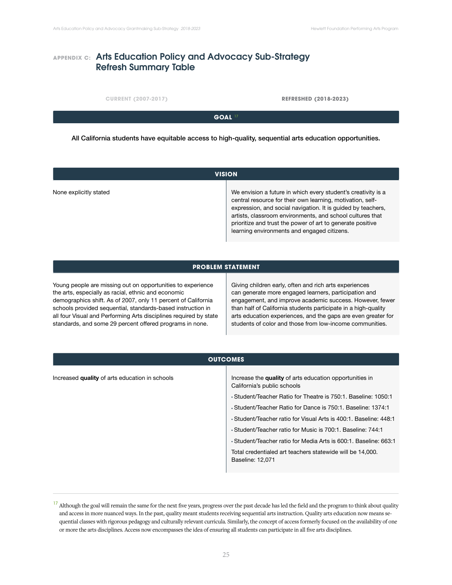# **APPENDIX C: Arts Education Policy and Advocacy Sub-Strategy** Refresh Summary Table

**CURRENT (2007-2017) REFRESHED (2018-2023)**

**GOAL** <sup>17</sup>

All California students have equitable access to high-quality, sequential arts education opportunities.

| <b>VISION</b>          |                                                                                                                                                                                                                                                                                                                                                                       |
|------------------------|-----------------------------------------------------------------------------------------------------------------------------------------------------------------------------------------------------------------------------------------------------------------------------------------------------------------------------------------------------------------------|
| None explicitly stated | We envision a future in which every student's creativity is a<br>central resource for their own learning, motivation, self-<br>expression, and social navigation. It is guided by teachers,<br>artists, classroom environments, and school cultures that<br>prioritize and trust the power of art to generate positive<br>learning environments and engaged citizens. |

## **PROBLEM STATEMENT**

Young people are missing out on opportunities to experience the arts, especially as racial, ethnic and economic demographics shift. As of 2007, only 11 percent of California schools provided sequential, standards-based instruction in all four Visual and Performing Arts disciplines required by state standards, and some 29 percent offered programs in none.

Giving children early, often and rich arts experiences can generate more engaged learners, participation and engagement, and improve academic success. However, fewer than half of California students participate in a high-quality arts education experiences, and the gaps are even greater for students of color and those from low-income communities.

| <b>OUTCOMES</b>                                |                                                                                                                                                                                                                                                                                                                                                                                                                                                                                                                          |
|------------------------------------------------|--------------------------------------------------------------------------------------------------------------------------------------------------------------------------------------------------------------------------------------------------------------------------------------------------------------------------------------------------------------------------------------------------------------------------------------------------------------------------------------------------------------------------|
| Increased quality of arts education in schools | Increase the quality of arts education opportunities in<br>California's public schools<br>• Student/Teacher Ratio for Theatre is 750.1. Baseline: 1050.1<br>• Student/Teacher Ratio for Dance is 750:1. Baseline: 1374:1<br>• Student/Teacher ratio for Visual Arts is 400:1, Baseline: 448:1<br>• Student/Teacher ratio for Music is 700:1. Baseline: 744:1<br>• Student/Teacher ratio for Media Arts is 600:1. Baseline: 663:1<br>Total credentialed art teachers statewide will be 14,000.<br><b>Baseline: 12,071</b> |
|                                                |                                                                                                                                                                                                                                                                                                                                                                                                                                                                                                                          |

<sup>&</sup>lt;sup>17</sup> Although the goal will remain the same for the next five years, progress over the past decade has led the field and the program to think about quality and access in more nuanced ways. In the past, quality meant students receiving sequential arts instruction. Quality arts education now means sequential classes with rigorous pedagogy and culturally relevant curricula. Similarly, the concept of access formerly focused on the availability of one or more the arts disciplines. Access now encompasses the idea of ensuring all students can participate in all five arts disciplines.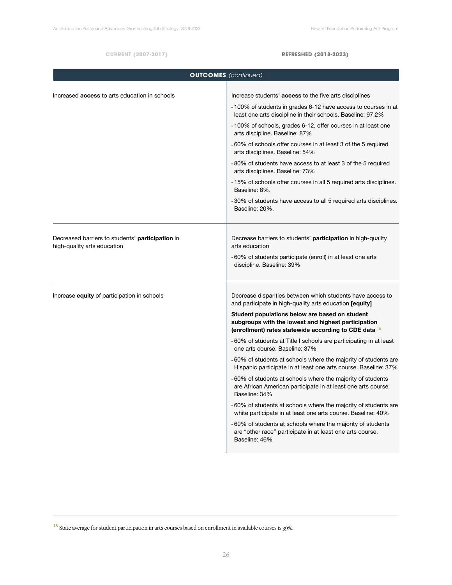#### **CURRENT (2007-2017) REFRESHED (2018-2023)**

| <b>OUTCOMES</b> (continued)                                                     |                                                                                                                                                                |
|---------------------------------------------------------------------------------|----------------------------------------------------------------------------------------------------------------------------------------------------------------|
| Increased <b>access</b> to arts education in schools                            | Increase students' access to the five arts disciplines                                                                                                         |
|                                                                                 | .100% of students in grades 6-12 have access to courses in at<br>least one arts discipline in their schools. Baseline: 97.2%                                   |
|                                                                                 | ⋅ 100% of schools, grades 6-12, offer courses in at least one<br>arts discipline. Baseline: 87%                                                                |
|                                                                                 | .60% of schools offer courses in at least 3 of the 5 required<br>arts disciplines. Baseline: 54%                                                               |
|                                                                                 | .80% of students have access to at least 3 of the 5 required<br>arts disciplines. Baseline: 73%                                                                |
|                                                                                 | .15% of schools offer courses in all 5 required arts disciplines.<br>Baseline: 8%.                                                                             |
|                                                                                 | .30% of students have access to all 5 required arts disciplines.<br>Baseline: 20%.                                                                             |
| Decreased barriers to students' participation in<br>high-quality arts education | Decrease barriers to students' participation in high-quality<br>arts education                                                                                 |
|                                                                                 | ⋅60% of students participate (enroll) in at least one arts<br>discipline. Baseline: 39%                                                                        |
| Increase <b>equity</b> of participation in schools                              | Decrease disparities between which students have access to<br>and participate in high-quality arts education [equity]                                          |
|                                                                                 | Student populations below are based on student<br>subgroups with the lowest and highest participation<br>(enrollment) rates statewide according to CDE data 18 |
|                                                                                 | ⋅60% of students at Title I schools are participating in at least<br>one arts course. Baseline: 37%                                                            |
|                                                                                 | ⋅60% of students at schools where the majority of students are<br>Hispanic participate in at least one arts course. Baseline: 37%                              |
|                                                                                 | .60% of students at schools where the majority of students<br>are African American participate in at least one arts course.<br>Baseline: 34%                   |
|                                                                                 | ⋅60% of students at schools where the majority of students are<br>white participate in at least one arts course. Baseline: 40%                                 |
|                                                                                 | ⋅60% of students at schools where the majority of students<br>are "other race" participate in at least one arts course.<br>Baseline: 46%                       |
|                                                                                 |                                                                                                                                                                |

 $^{18}$  State average for student participation in arts courses based on enrollment in available courses is 39%.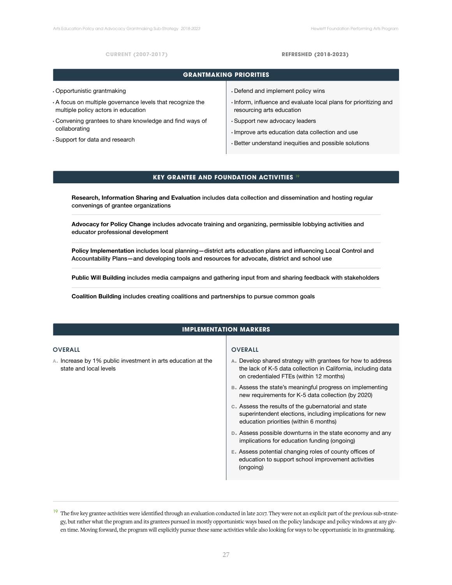#### **CURRENT (2007-2017) REFRESHED (2018-2023)**

| <b>GRANTMAKING PRIORITIES</b>                            |                                                                 |
|----------------------------------------------------------|-----------------------------------------------------------------|
| • Opportunistic grantmaking                              | Defend and implement policy wins                                |
| A focus on multiple governance levels that recognize the | Inform, influence and evaluate local plans for prioritizing and |
| multiple policy actors in education                      | resourcing arts education                                       |
| Convening grantees to share knowledge and find ways of   | • Support new advocacy leaders                                  |
| collaborating                                            | Improve arts education data collection and use                  |
| Support for data and research                            | . Better understand inequities and possible solutions           |

## **KEY GRANTEE AND FOUNDATION ACTIVITIES 19**

**Research, Information Sharing and Evaluation** includes data collection and dissemination and hosting regular convenings of grantee organizations

**Advocacy for Policy Change** includes advocate training and organizing, permissible lobbying activities and educator professional development

**Policy Implementation** includes local planning—district arts education plans and influencing Local Control and Accountability Plans—and developing tools and resources for advocate, district and school use

**Public Will Building** includes media campaigns and gathering input from and sharing feedback with stakeholders

**Coalition Building** includes creating coalitions and partnerships to pursue common goals

## **IMPLEMENTATION MARKERS**

#### OVERALL

**a.** Increase by 1% public investment in arts education at the state and local levels

#### OVERALL

- **a.** Develop shared strategy with grantees for how to address the lack of K-5 data collection in California, including data on credentialed FTEs (within 12 months)
- **b.** Assess the state's meaningful progress on implementing new requirements for K-5 data collection (by 2020)
- **c.** Assess the results of the gubernatorial and state superintendent elections, including implications for new education priorities (within 6 months)
- **d.** Assess possible downturns in the state economy and any implications for education funding (ongoing)
- **e.** Assess potential changing roles of county offices of education to support school improvement activities (ongoing)

<sup>&</sup>lt;sup>19</sup> The five key grantee activities were identified through an evaluation conducted in late 2017. They were not an explicit part of the previous sub-strategy, but rather what the program and its grantees pursued in mostly opportunistic ways based on the policy landscape and policy windows at any given time. Moving forward, the program will explicitly pursue these same activities while also looking for ways to be opportunistic in its grantmaking.